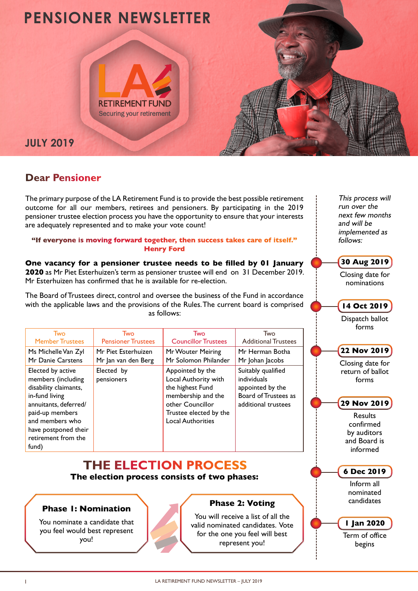

## **Dear Pensioner**

The primary purpose of the LA Retirement Fund is to provide the best possible retirement outcome for all our members, retirees and pensioners. By participating in the 2019 pensioner trustee election process you have the opportunity to ensure that your interests are adequately represented and to make your vote count!

#### **"If everyone is moving forward together, then success takes care of itself." Henry Ford**

**One vacancy for a pensioner trustee needs to be filled by 01 January 2020** as Mr Piet Esterhuizen's term as pensioner trustee will end on 31 December 2019. Mr Esterhuizen has confirmed that he is available for re-election.

The Board of Trustees direct, control and oversee the business of the Fund in accordance with the applicable laws and the provisions of the Rules. The current board is comprised as follows:

| Two                                                                                                                                                                                                       | Two                       | Two                                                                                                                                                          | Two                                                                                                  |
|-----------------------------------------------------------------------------------------------------------------------------------------------------------------------------------------------------------|---------------------------|--------------------------------------------------------------------------------------------------------------------------------------------------------------|------------------------------------------------------------------------------------------------------|
| <b>Member Trustees</b>                                                                                                                                                                                    | <b>Pensioner Trustees</b> | <b>Councillor Trustees</b>                                                                                                                                   | <b>Additional Trustees</b>                                                                           |
| Ms Michelle Van Zyl                                                                                                                                                                                       | Mr Piet Esterhuizen       | Mr Wouter Meiring                                                                                                                                            | Mr Herman Botha                                                                                      |
| Mr Danie Carstens                                                                                                                                                                                         | Mr Jan van den Berg       | Mr Solomon Philander                                                                                                                                         | Mr Johan Jacobs                                                                                      |
| Elected by active<br>members (including<br>disability claimants,<br>in-fund living<br>annuitants, deferred/<br>paid-up members<br>and members who<br>have postponed their<br>retirement from the<br>fund) | Elected by<br>pensioners  | Appointed by the<br>Local Authority with<br>the highest Fund<br>membership and the<br>other Councillor<br>Trustee elected by the<br><b>Local Authorities</b> | Suitably qualified<br>individuals<br>appointed by the<br>Board of Trustees as<br>additional trustees |

# **THE ELECTION PROCESS**

**The election process consists of two phases:**

### **Phase 1: Nomination**

You nominate a candidate that you feel would best represent you!



## **Phase 2: Voting**

You will receive a list of all the valid nominated candidates. Vote for the one you feel will best represent you!

This process will run over the next few months and will be implemented as follows:

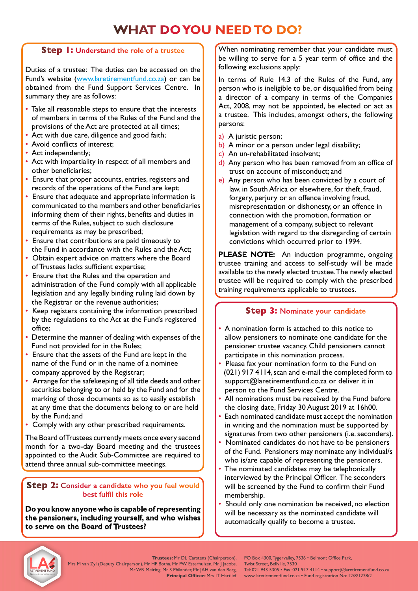# **WHAT DO YOU NEED TO DO?**

### **Step 1: Understand the role of a trustee**

Duties of a trustee: The duties can be accessed on the Fund's website (www.laretirementfund.co.za) or can be obtained from the Fund Support Services Centre. In summary they are as follows:

- Take all reasonable steps to ensure that the interests of members in terms of the Rules of the Fund and the provisions of the Act are protected at all times;
- Act with due care, diligence and good faith;
- Avoid conflicts of interest;
- Act independently;
- Act with impartiality in respect of all members and other beneficiaries;
- Ensure that proper accounts, entries, registers and records of the operations of the Fund are kept;
- Ensure that adequate and appropriate information is communicated to the members and other beneficiaries informing them of their rights, benefits and duties in terms of the Rules, subject to such disclosure requirements as may be prescribed;
- Ensure that contributions are paid timeously to the Fund in accordance with the Rules and the Act;
- Obtain expert advice on matters where the Board of Trustees lacks sufficient expertise;
- Ensure that the Rules and the operation and administration of the Fund comply with all applicable legislation and any legally binding ruling laid down by the Registrar or the revenue authorities;
- Keep registers containing the information prescribed by the regulations to the Act at the Fund's registered office;
- Determine the manner of dealing with expenses of the Fund not provided for in the Rules;
- Ensure that the assets of the Fund are kept in the name of the Fund or in the name of a nominee company approved by the Registrar;
- Arrange for the safekeeping of all title deeds and other securities belonging to or held by the Fund and for the marking of those documents so as to easily establish at any time that the documents belong to or are held by the Fund; and
- Comply with any other prescribed requirements.

The Board of Trustees currently meets once every second month for a two-day Board meeting and the trustees appointed to the Audit Sub-Committee are required to attend three annual sub-committee meetings.

#### **Step 2: Consider a candidate who you feel would best fulfil this role**

**Do you know anyone who is capable of representing the pensioners, including yourself, and who wishes to serve on the Board of Trustees?**

When nominating remember that your candidate must be willing to serve for a 5 year term of office and the following exclusions apply:

In terms of Rule 14.3 of the Rules of the Fund, any person who is ineligible to be, or disqualified from being a director of a company in terms of the Companies Act, 2008, may not be appointed, be elected or act as a trustee. This includes, amongst others, the following persons:

- a) A juristic person;
- b) A minor or a person under legal disability;
- c) An un-rehabilitated insolvent;
- d) Any person who has been removed from an office of trust on account of misconduct; and
- e) Any person who has been convicted by a court of law, in South Africa or elsewhere, for theft, fraud, forgery, perjury or an offence involving fraud, misrepresentation or dishonesty, or an offence in connection with the promotion, formation or management of a company, subject to relevant legislation with regard to the disregarding of certain convictions which occurred prior to 1994.

**PLEASE NOTE:** An induction programme, ongoing trustee training and access to self-study will be made available to the newly elected trustee. The newly elected trustee will be required to comply with the prescribed training requirements applicable to trustees.

## **Step 3: Nominate your candidate**

- A nomination form is attached to this notice to allow pensioners to nominate one candidate for the pensioner trustee vacancy. Child pensioners cannot participate in this nomination process.
- Please fax your nomination form to the Fund on (021) 917 4114, scan and e-mail the completed form to support@laretirementfund.co.za or deliver it in person to the Fund Services Centre.
- All nominations must be received by the Fund before the closing date, Friday 30 August 2019 at 16h00.
- Each nominated candidate must accept the nomination in writing and the nomination must be supported by signatures from two other pensioners (i.e. seconders).
- Nominated candidates do not have to be pensioners of the Fund. Pensioners may nominate any individual/s who is/are capable of representing the pensioners.
- The nominated candidates may be telephonically interviewed by the Principal Officer. The seconders will be screened by the Fund to confirm their Fund membership.
- Should only one nomination be received, no election will be necessary as the nominated candidate will automatically qualify to become a trustee.



**Trustees:** Mr DL Carstens (Chairperson), Mrs M van Zyl (Deputy Chairperson), Mr HF Botha, Mr PW Esterhuizen, Mr J Jacobs, Mr WR Meiring, Mr S Philander, Mr JAH van den Berg, **Principal Officer: Mrs IT Hartlief** 

PO Box 4300, Tygervalley, 7536 • Belmont Office Park, Twist Street, Bellville, 7530 Tel: 021 943 5305 • Fax: 021 917 4114 • support@laretirementfund.co.za www.laretirementfund.co.za • Fund registration No: 12/8/1278/2